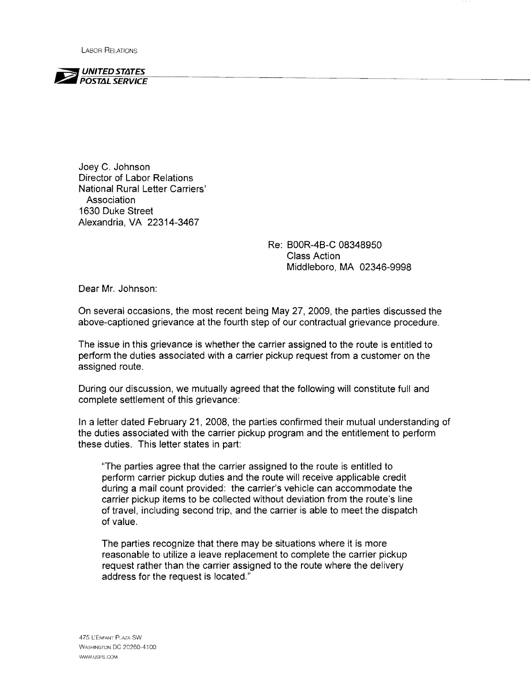LABOR RELATIONS



Joey C. Johnson Director of Labor Relations National Rural Letter Carriers' Association 1630 Duke Street Alexandria, VA 22314-3467

> Re: BOOR-4B-C 08348950 Class Action Middleboro, MA 02346-9998

Dear Mr. Johnson:

On several occasions, the most recent being May 27,2009, the parties discussed the above-captioned grievance at the fourth step of our contractual grievance procedure.

The issue in this grievance is whether the carrier assigned to the route is entitled to perform the duties associated with a carrier pickup request from a customer on the assigned route.

During our discussion, we mutually agreed that the following will constitute full and complete settlement of this grievance:

In a letter dated February 21, 2008, the parties confirmed their mutual understanding of the duties associated with the carrier pickup program and the entitlement to perform these duties. This letter states in part:

"The parties agree that the carrier assigned to the route is entitled to perform carrier pickup duties and the route will receive applicable credit during a mail count provided: the carrier's vehicle can accommodate the carrier pickup items to be collected without deviation from the route's line of travel, including second trip, and the carrier is able to meet the dispatch of value.

The parties recognize that there may be situations where it is more reasonable to utilize a leave replacement to complete the carrier pickup request rather than the carrier assigned to the route where the delivery address for the request is located."